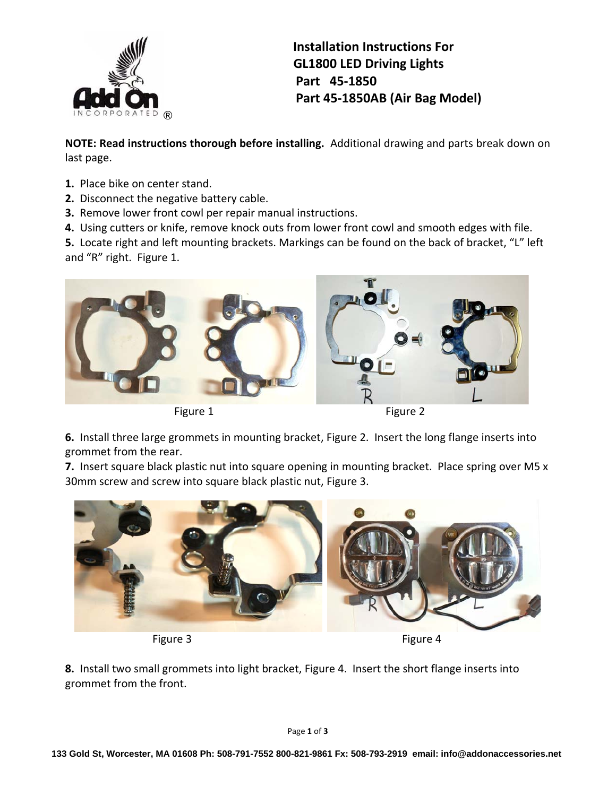

 **Installation Instructions For GL1800 LED Driving Lights Part 45‐1850 Part 45‐1850AB (Air Bag Model)**

**NOTE: Read instructions thorough before installing.** Additional drawing and parts break down on last page.

- **1.** Place bike on center stand.
- **2.** Disconnect the negative battery cable.
- **3.** Remove lower front cowl per repair manual instructions.
- **4.** Using cutters or knife, remove knock outs from lower front cowl and smooth edges with file.

**5.** Locate right and left mounting brackets. Markings can be found on the back of bracket, "L" left and "R" right. Figure 1.



**6.** Install three large grommets in mounting bracket, Figure 2. Insert the long flange inserts into grommet from the rear.

**7.** Insert square black plastic nut into square opening in mounting bracket. Place spring over M5 x 30mm screw and screw into square black plastic nut, Figure 3.



**8.** Install two small grommets into light bracket, Figure 4. Insert the short flange inserts into grommet from the front.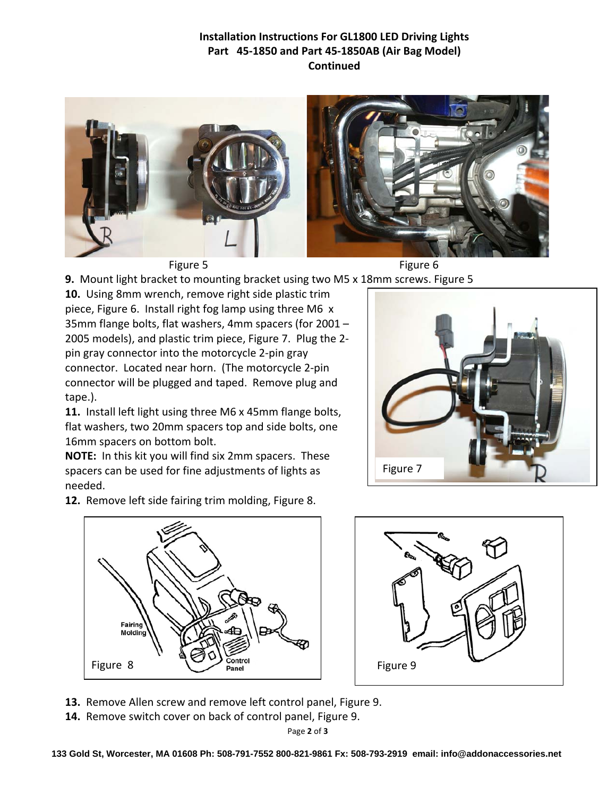## **Installation Instructions For GL1800 LED Driving Lights Part 45‐1850 and Part 45‐1850AB (Air Bag Model) Continued**



**9.** Mount light bracket to mounting bracket using two M5 x 18mm screws. Figure 5

**10.** Using 8mm wrench, remove right side plastic trim piece, Figure 6. Install right fog lamp using three M6 x 35mm flange bolts, flat washers, 4mm spacers (for 2001 – 2005 models), and plastic trim piece, Figure 7. Plug the 2‐ pin gray connector into the motorcycle 2‐pin gray connector. Located near horn. (The motorcycle 2‐pin connector will be plugged and taped. Remove plug and tape.).

**11.** Install left light using three M6 x 45mm flange bolts, flat washers, two 20mm spacers top and side bolts, one 16mm spacers on bottom bolt.

**NOTE:** In this kit you will find six 2mm spacers. These spacers can be used for fine adjustments of lights as needed.

**12.** Remove left side fairing trim molding, Figure 8.





**13.** Remove Allen screw and remove left control panel, Figure 9.

**14.** Remove switch cover on back of control panel, Figure 9.

Page **2** of **3**